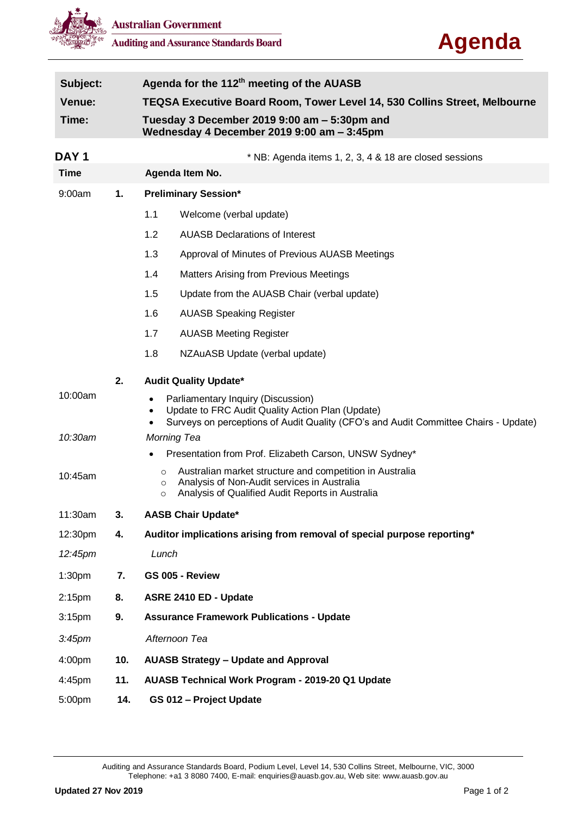



| Subject:           |     | Agenda for the 112 <sup>th</sup> meeting of the AUASB                                                                                                                                        |  |  |  |
|--------------------|-----|----------------------------------------------------------------------------------------------------------------------------------------------------------------------------------------------|--|--|--|
| <b>Venue:</b>      |     | <b>TEQSA Executive Board Room, Tower Level 14, 530 Collins Street, Melbourne</b>                                                                                                             |  |  |  |
| Time:              |     | Tuesday 3 December 2019 9:00 am - 5:30pm and<br>Wednesday 4 December 2019 9:00 am - 3:45pm                                                                                                   |  |  |  |
| <b>DAY1</b>        |     | * NB: Agenda items 1, 2, 3, 4 & 18 are closed sessions                                                                                                                                       |  |  |  |
| <b>Time</b>        |     | Agenda Item No.                                                                                                                                                                              |  |  |  |
| 9:00am             | 1.  | <b>Preliminary Session*</b>                                                                                                                                                                  |  |  |  |
|                    |     | 1.1<br>Welcome (verbal update)                                                                                                                                                               |  |  |  |
|                    |     | 1.2<br><b>AUASB Declarations of Interest</b>                                                                                                                                                 |  |  |  |
|                    |     | 1.3<br>Approval of Minutes of Previous AUASB Meetings                                                                                                                                        |  |  |  |
|                    |     | 1.4<br><b>Matters Arising from Previous Meetings</b>                                                                                                                                         |  |  |  |
|                    |     | 1.5<br>Update from the AUASB Chair (verbal update)                                                                                                                                           |  |  |  |
|                    |     | 1.6<br><b>AUASB Speaking Register</b>                                                                                                                                                        |  |  |  |
|                    |     | 1.7<br><b>AUASB Meeting Register</b>                                                                                                                                                         |  |  |  |
|                    |     | 1.8<br>NZAuASB Update (verbal update)                                                                                                                                                        |  |  |  |
|                    | 2.  | <b>Audit Quality Update*</b>                                                                                                                                                                 |  |  |  |
| 10:00am            |     | Parliamentary Inquiry (Discussion)<br>٠<br>Update to FRC Audit Quality Action Plan (Update)<br>Surveys on perceptions of Audit Quality (CFO's and Audit Committee Chairs - Update)           |  |  |  |
| 10:30am            |     | Morning Tea                                                                                                                                                                                  |  |  |  |
|                    |     | Presentation from Prof. Elizabeth Carson, UNSW Sydney*<br>$\bullet$                                                                                                                          |  |  |  |
| 10:45am            |     | Australian market structure and competition in Australia<br>$\circ$<br>Analysis of Non-Audit services in Australia<br>$\circ$<br>Analysis of Qualified Audit Reports in Australia<br>$\circ$ |  |  |  |
| 11:30am            | 3.  | <b>AASB Chair Update*</b>                                                                                                                                                                    |  |  |  |
| 12:30pm            | 4.  | Auditor implications arising from removal of special purpose reporting*                                                                                                                      |  |  |  |
| 12:45pm            |     | Lunch                                                                                                                                                                                        |  |  |  |
| 1:30 <sub>pm</sub> | 7.  | GS 005 - Review                                                                                                                                                                              |  |  |  |
| 2:15 <sub>pm</sub> | 8.  | ASRE 2410 ED - Update                                                                                                                                                                        |  |  |  |
| 3:15 <sub>pm</sub> | 9.  | <b>Assurance Framework Publications - Update</b>                                                                                                                                             |  |  |  |
| 3:45 <sub>pm</sub> |     | Afternoon Tea                                                                                                                                                                                |  |  |  |
| 4:00pm             | 10. | <b>AUASB Strategy - Update and Approval</b>                                                                                                                                                  |  |  |  |
| 4:45pm             | 11. | AUASB Technical Work Program - 2019-20 Q1 Update                                                                                                                                             |  |  |  |
| 5:00pm             | 14. | GS 012 - Project Update                                                                                                                                                                      |  |  |  |

Auditing and Assurance Standards Board, Podium Level, Level 14, 530 Collins Street, Melbourne, VIC, 3000 Telephone: +a1 3 8080 7400, E-mail: enquiries@auasb.gov.au, Web site: www.auasb.gov.au